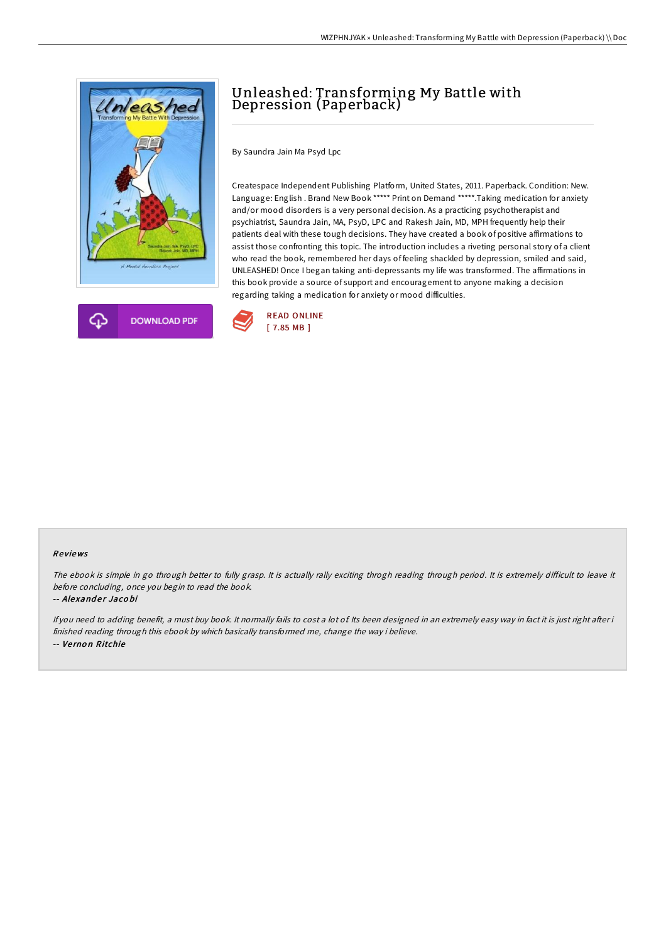



# Unleashed: Transforming My Battle with Depression (Paperback)

By Saundra Jain Ma Psyd Lpc

Createspace Independent Publishing Platform, United States, 2011. Paperback. Condition: New. Language: English . Brand New Book \*\*\*\*\* Print on Demand \*\*\*\*\*.Taking medication for anxiety and/or mood disorders is a very personal decision. As a practicing psychotherapist and psychiatrist, Saundra Jain, MA, PsyD, LPC and Rakesh Jain, MD, MPH frequently help their patients deal with these tough decisions. They have created a book of positive affirmations to assist those confronting this topic. The introduction includes a riveting personal story of a client who read the book, remembered her days of feeling shackled by depression, smiled and said, UNLEASHED! Once I began taking anti-depressants my life was transformed. The affirmations in this book provide a source of support and encouragement to anyone making a decision regarding taking a medication for anxiety or mood difficulties.



### Re views

The ebook is simple in go through better to fully grasp. It is actually rally exciting throgh reading through period. It is extremely difficult to leave it before concluding, once you begin to read the book.

#### -- Alexander Jacobi

If you need to adding benefit, a must buy book. It normally fails to cost a lot of. Its been designed in an extremely easy way in fact it is just right after i finished reading through this ebook by which basically transformed me, change the way i believe. -- Ve rno <sup>n</sup> Ritchie